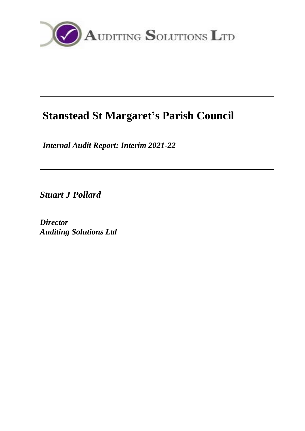

# **Stanstead St Margaret's Parish Council**

*Internal Audit Report: Interim 2021-22*

*Stuart J Pollard*

*Director Auditing Solutions Ltd*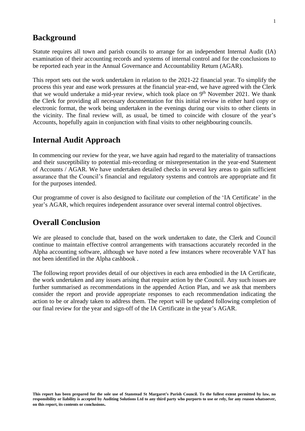## **Background**

Statute requires all town and parish councils to arrange for an independent Internal Audit (IA) examination of their accounting records and systems of internal control and for the conclusions to be reported each year in the Annual Governance and Accountability Return (AGAR).

This report sets out the work undertaken in relation to the 2021-22 financial year. To simplify the process this year and ease work pressures at the financial year-end, we have agreed with the Clerk that we would undertake a mid-year review, which took place on  $9<sup>th</sup>$  November 2021. We thank the Clerk for providing all necessary documentation for this initial review in either hard copy or electronic format, the work being undertaken in the evenings during our visits to other clients in the vicinity. The final review will, as usual, be timed to coincide with closure of the year's Accounts, hopefully again in conjunction with final visits to other neighbouring councils.

## **Internal Audit Approach**

In commencing our review for the year, we have again had regard to the materiality of transactions and their susceptibility to potential mis-recording or misrepresentation in the year-end Statement of Accounts / AGAR. We have undertaken detailed checks in several key areas to gain sufficient assurance that the Council's financial and regulatory systems and controls are appropriate and fit for the purposes intended.

Our programme of cover is also designed to facilitate our completion of the 'IA Certificate' in the year's AGAR, which requires independent assurance over several internal control objectives.

# **Overall Conclusion**

We are pleased to conclude that, based on the work undertaken to date, the Clerk and Council continue to maintain effective control arrangements with transactions accurately recorded in the Alpha accounting software, although we have noted a few instances where recoverable VAT has not been identified in the Alpha cashbook .

The following report provides detail of our objectives in each area embodied in the IA Certificate, the work undertaken and any issues arising that require action by the Council. Any such issues are further summarised as recommendations in the appended Action Plan, and we ask that members consider the report and provide appropriate responses to each recommendation indicating the action to be or already taken to address them. The report will be updated following completion of our final review for the year and sign-off of the IA Certificate in the year's AGAR.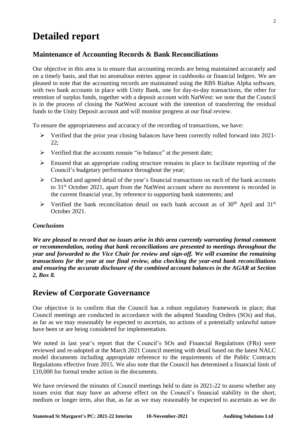# **Detailed report**

## **Maintenance of Accounting Records & Bank Reconciliations**

Our objective in this area is to ensure that accounting records are being maintained accurately and on a timely basis, and that no anomalous entries appear in cashbooks or financial ledgers. We are pleased to note that the accounting records are maintained using the RBS Rialtas Alpha software, with two bank accounts in place with Unity Bank, one for day-to-day transactions, the other for retention of surplus funds, together with a deposit account with NatWest: we note that the Council is in the process of closing the NatWest account with the intention of transferring the residual funds to the Unity Deposit account and will monitor progress at our final review.

To ensure the appropriateness and accuracy of the recording of transactions, we have:

- ➢ Verified that the prior year closing balances have been correctly rolled forward into 2021- 22;
- $\triangleright$  Verified that the accounts remain "in balance" at the present date;
- $\triangleright$  Ensured that an appropriate coding structure remains in place to facilitate reporting of the Council's budgetary performance throughout the year;
- ➢ Checked and agreed detail of the year's financial transactions on each of the bank accounts to 31st October 2021, apart from the NatWest account where no movement is recorded in the current financial year, by reference to supporting bank statements; and
- $\triangleright$  Verified the bank reconciliation detail on each bank account as of 30<sup>th</sup> April and 31<sup>st</sup> October 2021.

#### *Conclusions*

*We are pleased to record that no issues arise in this area currently warranting formal comment or recommendation, noting that bank reconciliations are presented to meetings throughout the year and forwarded to the Vice Chair for review and sign-off. We will examine the remaining transactions for the year at our final review, also checking the year-end bank reconciliations and ensuring the accurate disclosure of the combined account balances in the AGAR at Section 2, Box 8.*

# **Review of Corporate Governance**

Our objective is to confirm that the Council has a robust regulatory framework in place; that Council meetings are conducted in accordance with the adopted Standing Orders (SOs) and that, as far as we may reasonably be expected to ascertain, no actions of a potentially unlawful nature have been or are being considered for implementation.

We noted in last year's report that the Council's SOs and Financial Regulations (FRs) were reviewed and re-adopted at the March 2021 Council meeting with detail based on the latest NALC model documents including appropriate reference to the requirements of the Public Contracts Regulations effective from 2015. We also note that the Council has determined a financial limit of £10,000 for formal tender action in the documents.

We have reviewed the minutes of Council meetings held to date in 2021-22 to assess whether any issues exist that may have an adverse effect on the Council's financial stability in the short, medium or longer term, also that, as far as we may reasonably be expected to ascertain as we do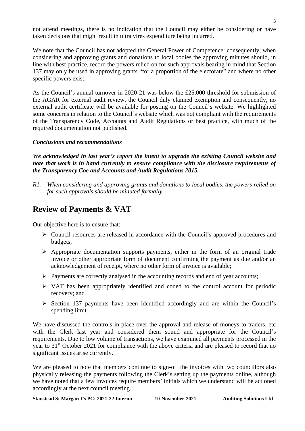not attend meetings, there is no indication that the Council may either be considering or have taken decisions that might result in ultra vires expenditure being incurred.

We note that the Council has not adopted the General Power of Competence: consequently, when considering and approving grants and donations to local bodies the approving minutes should, in line with best practice, record the powers relied on for such approvals bearing in mind that Section 137 may only be used in approving grants "for a proportion of the electorate" and where no other specific powers exist.

As the Council's annual turnover in 2020-21 was below the £25,000 threshold for submission of the AGAR for external audit review, the Council duly claimed exemption and consequently, no external audit certificate will be available for posting on the Council's website. We highlighted some concerns in relation to the Council's website which was not compliant with the requirements of the Transparency Code, Accounts and Audit Regulations or best practice, with much of the required documentation not published.

#### *Conclusions and recommendations*

*We acknowledged in last year's report the intent to upgrade the existing Council website and note that work is in hand currently to ensure compliance with the disclosure requirements of the Transparency Coe and Accounts and Audit Regulations 2015.*

*R1. When considering and approving grants and donations to local bodies, the powers relied on for such approvals should be minuted formally.*

# **Review of Payments & VAT**

Our objective here is to ensure that:

- ➢ Council resources are released in accordance with the Council's approved procedures and budgets;
- ➢ Appropriate documentation supports payments, either in the form of an original trade invoice or other appropriate form of document confirming the payment as due and/or an acknowledgement of receipt, where no other form of invoice is available;
- $\triangleright$  Payments are correctly analysed in the accounting records and end of year accounts;
- ➢ VAT has been appropriately identified and coded to the control account for periodic recovery; and
- ➢ Section 137 payments have been identified accordingly and are within the Council's spending limit.

We have discussed the controls in place over the approval and release of moneys to traders, etc with the Clerk last year and considered them sound and appropriate for the Council's requirements. Due to low volume of transactions, we have examined all payments processed in the year to 31st October 2021 for compliance with the above criteria and are pleased to record that no significant issues arise currently.

We are pleased to note that members continue to sign-off the invoices with two councillors also physically releasing the payments following the Clerk's setting up the payments online, although we have noted that a few invoices require members' initials which we understand will be actioned accordingly at the next council meeting.

**Stanstead St Margaret's PC: 2021-22 Interim 10-November-2021 Auditing Solutions Ltd**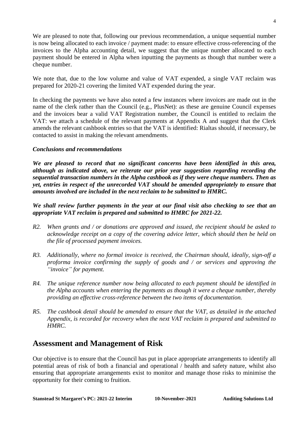We are pleased to note that, following our previous recommendation, a unique sequential number is now being allocated to each invoice / payment made: to ensure effective cross-referencing of the invoices to the Alpha accounting detail, we suggest that the unique number allocated to each payment should be entered in Alpha when inputting the payments as though that number were a cheque number.

We note that, due to the low volume and value of VAT expended, a single VAT reclaim was prepared for 2020-21 covering the limited VAT expended during the year.

In checking the payments we have also noted a few instances where invoices are made out in the name of the clerk rather than the Council (e.g., PlusNet): as these are genuine Council expenses and the invoices bear a valid VAT Registration number, the Council is entitled to reclaim the VAT: we attach a schedule of the relevant payments at Appendix A and suggest that the Clerk amends the relevant cashbook entries so that the VAT is identified: Rialtas should, if necessary, be contacted to assist in making the relevant amendments.

#### *Conclusions and recommendations*

*We are pleased to record that no significant concerns have been identified in this area, although as indicated above, we reiterate our prior year suggestion regarding recording the sequential transaction numbers in the Alpha cashbook as if they were cheque numbers. Then as yet, entries in respect of the unrecorded VAT should be amended appropriately to ensure that amounts involved are included in the next reclaim to be submitted to HMRC.*

*We shall review further payments in the year at our final visit also checking to see that an appropriate VAT reclaim is prepared and submitted to HMRC for 2021-22.*

- *R2. When grants and / or donations are approved and issued, the recipient should be asked to acknowledge receipt on a copy of the covering advice letter, which should then be held on the file of processed payment invoices.*
- *R3. Additionally, where no formal invoice is received, the Chairman should, ideally, sign-off a proforma invoice confirming the supply of goods and / or services and approving the "invoice" for payment.*
- *R4. The unique reference number now being allocated to each payment should be identified in the Alpha accounts when entering the payments as though it were a cheque number, thereby providing an effective cross-reference between the two items of documentation.*
- *R5. The cashbook detail should be amended to ensure that the VAT, as detailed in the attached Appendix, is recorded for recovery when the next VAT reclaim is prepared and submitted to HMRC.*

## **Assessment and Management of Risk**

Our objective is to ensure that the Council has put in place appropriate arrangements to identify all potential areas of risk of both a financial and operational / health and safety nature, whilst also ensuring that appropriate arrangements exist to monitor and manage those risks to minimise the opportunity for their coming to fruition.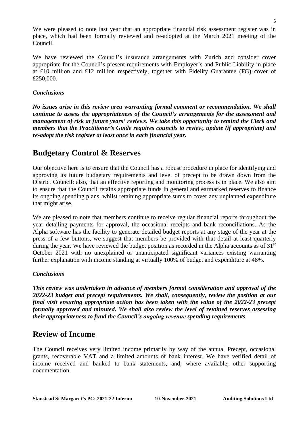We were pleased to note last year that an appropriate financial risk assessment register was in place, which had been formally reviewed and re-adopted at the March 2021 meeting of the Council.

We have reviewed the Council's insurance arrangements with Zurich and consider cover appropriate for the Council's present requirements with Employer's and Public Liability in place at £10 million and £12 million respectively, together with Fidelity Guarantee (FG) cover of £250,000.

#### *Conclusions*

*No issues arise in this review area warranting formal comment or recommendation. We shall continue to assess the appropriateness of the Council's arrangements for the assessment and management of risk at future years' reviews. We take this opportunity to remind the Clerk and members that the Practitioner's Guide requires councils to review, update (if appropriate) and re-adopt the risk register at least once in each financial year.*

# **Budgetary Control & Reserves**

Our objective here is to ensure that the Council has a robust procedure in place for identifying and approving its future budgetary requirements and level of precept to be drawn down from the District Council: also, that an effective reporting and monitoring process is in place. We also aim to ensure that the Council retains appropriate funds in general and earmarked reserves to finance its ongoing spending plans, whilst retaining appropriate sums to cover any unplanned expenditure that might arise.

We are pleased to note that members continue to receive regular financial reports throughout the year detailing payments for approval, the occasional receipts and bank reconciliations. As the Alpha software has the facility to generate detailed budget reports at any stage of the year at the press of a few buttons, we suggest that members be provided with that detail at least quarterly during the year. We have reviewed the budget position as recorded in the Alpha accounts as of  $31<sup>st</sup>$ October 2021 with no unexplained or unanticipated significant variances existing warranting further explanation with income standing at virtually 100% of budget and expenditure at 48%.

#### *Conclusions*

*This review was undertaken in advance of members formal consideration and approval of the 2022-23 budget and precept requirements. We shall, consequently, review the position at our final visit ensuring appropriate action has been taken with the value of the 2022-23 precept formally approved and minuted. We shall also review the level of retained reserves assessing their appropriateness to fund the Council's ongoing revenue spending requirements*

# **Review of Income**

The Council receives very limited income primarily by way of the annual Precept, occasional grants, recoverable VAT and a limited amounts of bank interest. We have verified detail of income received and banked to bank statements, and, where available, other supporting documentation.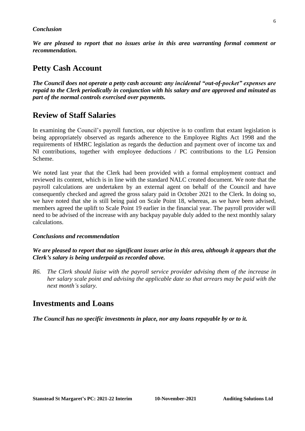#### *Conclusion*

*We are pleased to report that no issues arise in this area warranting formal comment or recommendation.*

## **Petty Cash Account**

*The Council does not operate a petty cash account: any incidental "out-of-pocket" expenses are repaid to the Clerk periodically in conjunction with his salary and are approved and minuted as part of the normal controls exercised over payments.*

## **Review of Staff Salaries**

In examining the Council's payroll function, our objective is to confirm that extant legislation is being appropriately observed as regards adherence to the Employee Rights Act 1998 and the requirements of HMRC legislation as regards the deduction and payment over of income tax and NI contributions, together with employee deductions / PC contributions to the LG Pension Scheme.

We noted last year that the Clerk had been provided with a formal employment contract and reviewed its content, which is in line with the standard NALC created document. We note that the payroll calculations are undertaken by an external agent on behalf of the Council and have consequently checked and agreed the gross salary paid in October 2021 to the Clerk. In doing so, we have noted that she is still being paid on Scale Point 18, whereas, as we have been advised, members agreed the uplift to Scale Point 19 earlier in the financial year. The payroll provider will need to be advised of the increase with any backpay payable duly added to the next monthly salary calculations.

#### *Conclusions and recommendation*

*We are pleased to report that no significant issues arise in this area, although it appears that the Clerk's salary is being underpaid as recorded above.*

*R6. The Clerk should liaise with the payroll service provider advising them of the increase in her salary scale point and advising the applicable date so that arrears may be paid with the next month's salary.*

## **Investments and Loans**

*The Council has no specific investments in place, nor any loans repayable by or to it.*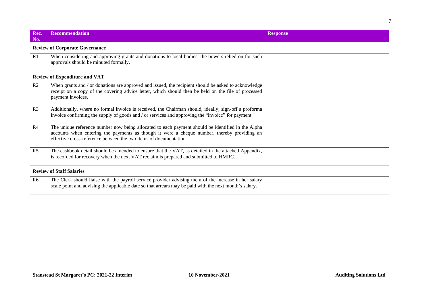#### **Rec. No. Recommendation Response**

#### **Review of Corporate Governance**

R1 When considering and approving grants and donations to local bodies, the powers relied on for such approvals should be minuted formally.

#### **Review of Expenditure and VAT**

- R2 When grants and / or donations are approved and issued, the recipient should be asked to acknowledge receipt on a copy of the covering advice letter, which should then be held on the file of processed payment invoices.
- R3 Additionally, where no formal invoice is received, the Chairman should, ideally, sign-off a proforma invoice confirming the supply of goods and / or services and approving the "invoice" for payment.
- R4 The unique reference number now being allocated to each payment should be identified in the Alpha accounts when entering the payments as though it were a cheque number, thereby providing an effective cross-reference between the two items of documentation.
- R5 The cashbook detail should be amended to ensure that the VAT, as detailed in the attached Appendix, is recorded for recovery when the next VAT reclaim is prepared and submitted to HMRC.

#### **Review of Staff Salaries**

R6 The Clerk should liaise with the payroll service provider advising them of the increase in her salary scale point and advising the applicable date so that arrears may be paid with the next month's salary.